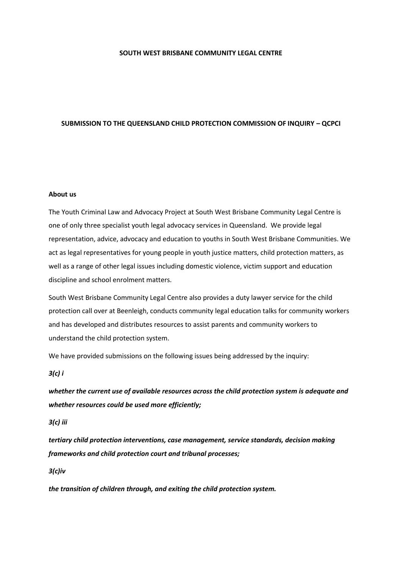#### **SOUTH WEST BRISBANE COMMUNITY LEGAL CENTRE**

#### **SUBMISSION TO THE QUEENSLAND CHILD PROTECTION COMMISSION OF INQUIRY – QCPCI**

#### **About us**

The Youth Criminal Law and Advocacy Project at South West Brisbane Community Legal Centre is one of only three specialist youth legal advocacy services in Queensland. We provide legal representation, advice, advocacy and education to youths in South West Brisbane Communities. We act as legal representatives for young people in youth justice matters, child protection matters, as well as a range of other legal issues including domestic violence, victim support and education discipline and school enrolment matters.

South West Brisbane Community Legal Centre also provides a duty lawyer service for the child protection call over at Beenleigh, conducts community legal education talks for community workers and has developed and distributes resources to assist parents and community workers to understand the child protection system.

We have provided submissions on the following issues being addressed by the inquiry:

#### *3(c) i*

*whether the current use of available resources across the child protection system is adequate and whether resources could be used more efficiently;* 

#### *3(c) iii*

*tertiary child protection interventions, case management, service standards, decision making frameworks and child protection court and tribunal processes;*

*3(c)iv*

*the transition of children through, and exiting the child protection system.*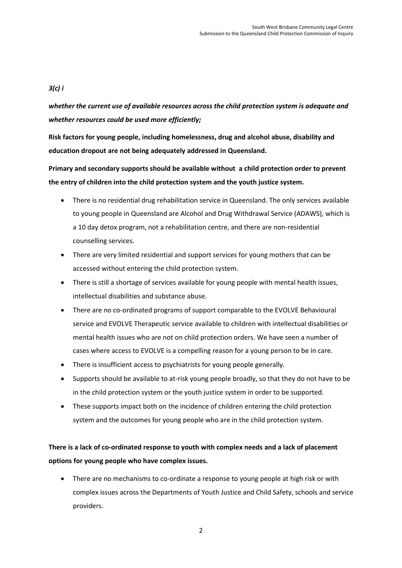## *3(c) i*

*whether the current use of available resources across the child protection system is adequate and whether resources could be used more efficiently;* 

**Risk factors for young people, including homelessness, drug and alcohol abuse, disability and education dropout are not being adequately addressed in Queensland.** 

**Primary and secondary supports should be available without a child protection order to prevent the entry of children into the child protection system and the youth justice system.**

- There is no residential drug rehabilitation service in Queensland. The only services available to young people in Queensland are Alcohol and Drug Withdrawal Service (ADAWS), which is a 10 day detox program, not a rehabilitation centre, and there are non-residential counselling services.
- There are very limited residential and support services for young mothers that can be accessed without entering the child protection system.
- There is still a shortage of services available for young people with mental health issues, intellectual disabilities and substance abuse.
- There are no co-ordinated programs of support comparable to the EVOLVE Behavioural service and EVOLVE Therapeutic service available to children with intellectual disabilities or mental health issues who are not on child protection orders. We have seen a number of cases where access to EVOLVE is a compelling reason for a young person to be in care.
- There is insufficient access to psychiatrists for young people generally.
- Supports should be available to at-risk young people broadly, so that they do not have to be in the child protection system or the youth justice system in order to be supported.
- These supports impact both on the incidence of children entering the child protection system and the outcomes for young people who are in the child protection system.

# **There is a lack of co-ordinated response to youth with complex needs and a lack of placement options for young people who have complex issues.**

 There are no mechanisms to co-ordinate a response to young people at high risk or with complex issues across the Departments of Youth Justice and Child Safety, schools and service providers.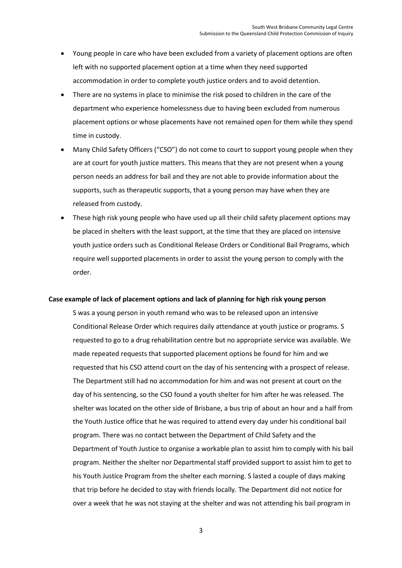- Young people in care who have been excluded from a variety of placement options are often left with no supported placement option at a time when they need supported accommodation in order to complete youth justice orders and to avoid detention.
- There are no systems in place to minimise the risk posed to children in the care of the department who experience homelessness due to having been excluded from numerous placement options or whose placements have not remained open for them while they spend time in custody.
- Many Child Safety Officers ("CSO") do not come to court to support young people when they are at court for youth justice matters. This means that they are not present when a young person needs an address for bail and they are not able to provide information about the supports, such as therapeutic supports, that a young person may have when they are released from custody.
- These high risk young people who have used up all their child safety placement options may be placed in shelters with the least support, at the time that they are placed on intensive youth justice orders such as Conditional Release Orders or Conditional Bail Programs, which require well supported placements in order to assist the young person to comply with the order.

#### **Case example of lack of placement options and lack of planning for high risk young person**

S was a young person in youth remand who was to be released upon an intensive Conditional Release Order which requires daily attendance at youth justice or programs. S requested to go to a drug rehabilitation centre but no appropriate service was available. We made repeated requests that supported placement options be found for him and we requested that his CSO attend court on the day of his sentencing with a prospect of release. The Department still had no accommodation for him and was not present at court on the day of his sentencing, so the CSO found a youth shelter for him after he was released. The shelter was located on the other side of Brisbane, a bus trip of about an hour and a half from the Youth Justice office that he was required to attend every day under his conditional bail program. There was no contact between the Department of Child Safety and the Department of Youth Justice to organise a workable plan to assist him to comply with his bail program. Neither the shelter nor Departmental staff provided support to assist him to get to his Youth Justice Program from the shelter each morning. S lasted a couple of days making that trip before he decided to stay with friends locally. The Department did not notice for over a week that he was not staying at the shelter and was not attending his bail program in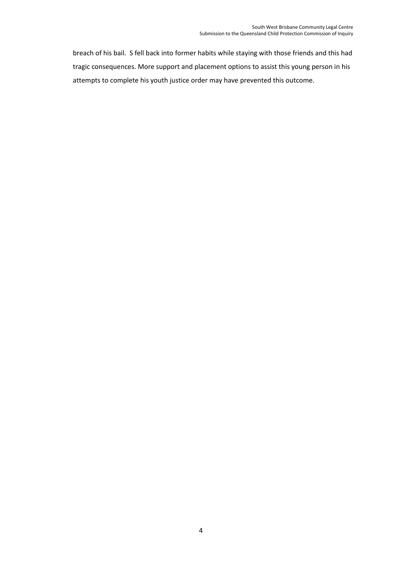breach of his bail. S fell back into former habits while staying with those friends and this had tragic consequences. More support and placement options to assist this young person in his attempts to complete his youth justice order may have prevented this outcome.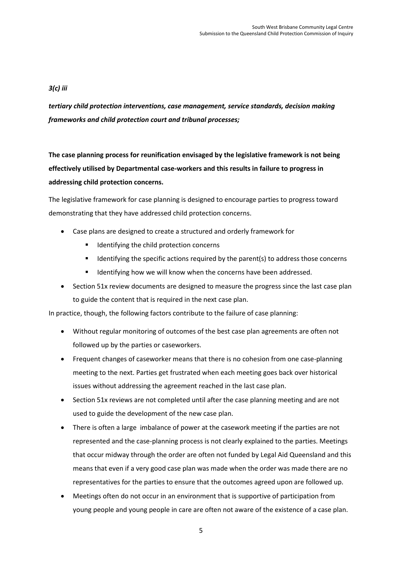## *3(c) iii*

*tertiary child protection interventions, case management, service standards, decision making frameworks and child protection court and tribunal processes;*

**The case planning process for reunification envisaged by the legislative framework is not being effectively utilised by Departmental case-workers and this results in failure to progress in addressing child protection concerns.**

The legislative framework for case planning is designed to encourage parties to progress toward demonstrating that they have addressed child protection concerns.

- Case plans are designed to create a structured and orderly framework for
	- Identifying the child protection concerns
	- Identifying the specific actions required by the parent(s) to address those concerns
	- Identifying how we will know when the concerns have been addressed.
- Section 51x review documents are designed to measure the progress since the last case plan to guide the content that is required in the next case plan.

In practice, though, the following factors contribute to the failure of case planning:

- Without regular monitoring of outcomes of the best case plan agreements are often not followed up by the parties or caseworkers.
- Frequent changes of caseworker means that there is no cohesion from one case-planning meeting to the next. Parties get frustrated when each meeting goes back over historical issues without addressing the agreement reached in the last case plan.
- Section 51x reviews are not completed until after the case planning meeting and are not used to guide the development of the new case plan.
- There is often a large imbalance of power at the casework meeting if the parties are not represented and the case-planning process is not clearly explained to the parties. Meetings that occur midway through the order are often not funded by Legal Aid Queensland and this means that even if a very good case plan was made when the order was made there are no representatives for the parties to ensure that the outcomes agreed upon are followed up.
- Meetings often do not occur in an environment that is supportive of participation from young people and young people in care are often not aware of the existence of a case plan.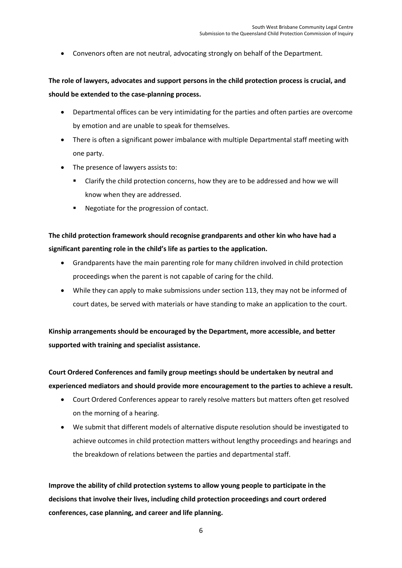Convenors often are not neutral, advocating strongly on behalf of the Department.

## **The role of lawyers, advocates and support persons in the child protection process is crucial, and should be extended to the case-planning process.**

- Departmental offices can be very intimidating for the parties and often parties are overcome by emotion and are unable to speak for themselves.
- There is often a significant power imbalance with multiple Departmental staff meeting with one party.
- The presence of lawyers assists to:
	- Clarify the child protection concerns, how they are to be addressed and how we will know when they are addressed.
	- Negotiate for the progression of contact.

## **The child protection framework should recognise grandparents and other kin who have had a significant parenting role in the child's life as parties to the application.**

- Grandparents have the main parenting role for many children involved in child protection proceedings when the parent is not capable of caring for the child.
- While they can apply to make submissions under section 113, they may not be informed of court dates, be served with materials or have standing to make an application to the court.

**Kinship arrangements should be encouraged by the Department, more accessible, and better supported with training and specialist assistance.**

**Court Ordered Conferences and family group meetings should be undertaken by neutral and experienced mediators and should provide more encouragement to the parties to achieve a result.**

- Court Ordered Conferences appear to rarely resolve matters but matters often get resolved on the morning of a hearing.
- We submit that different models of alternative dispute resolution should be investigated to achieve outcomes in child protection matters without lengthy proceedings and hearings and the breakdown of relations between the parties and departmental staff.

**Improve the ability of child protection systems to allow young people to participate in the decisions that involve their lives, including child protection proceedings and court ordered conferences, case planning, and career and life planning.**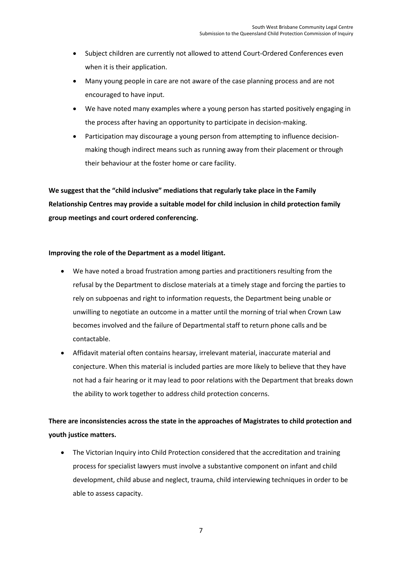- Subject children are currently not allowed to attend Court-Ordered Conferences even when it is their application.
- Many young people in care are not aware of the case planning process and are not encouraged to have input.
- We have noted many examples where a young person has started positively engaging in the process after having an opportunity to participate in decision-making.
- Participation may discourage a young person from attempting to influence decisionmaking though indirect means such as running away from their placement or through their behaviour at the foster home or care facility.

**We suggest that the "child inclusive" mediations that regularly take place in the Family Relationship Centres may provide a suitable model for child inclusion in child protection family group meetings and court ordered conferencing.**

### **Improving the role of the Department as a model litigant.**

- We have noted a broad frustration among parties and practitioners resulting from the refusal by the Department to disclose materials at a timely stage and forcing the parties to rely on subpoenas and right to information requests, the Department being unable or unwilling to negotiate an outcome in a matter until the morning of trial when Crown Law becomes involved and the failure of Departmental staff to return phone calls and be contactable.
- Affidavit material often contains hearsay, irrelevant material, inaccurate material and conjecture. When this material is included parties are more likely to believe that they have not had a fair hearing or it may lead to poor relations with the Department that breaks down the ability to work together to address child protection concerns.

## **There are inconsistencies across the state in the approaches of Magistrates to child protection and youth justice matters.**

• The Victorian Inquiry into Child Protection considered that the accreditation and training process for specialist lawyers must involve a substantive component on infant and child development, child abuse and neglect, trauma, child interviewing techniques in order to be able to assess capacity.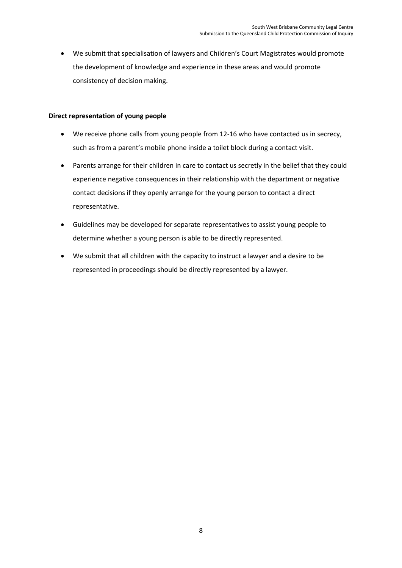We submit that specialisation of lawyers and Children's Court Magistrates would promote the development of knowledge and experience in these areas and would promote consistency of decision making.

### **Direct representation of young people**

- We receive phone calls from young people from 12-16 who have contacted us in secrecy, such as from a parent's mobile phone inside a toilet block during a contact visit.
- Parents arrange for their children in care to contact us secretly in the belief that they could experience negative consequences in their relationship with the department or negative contact decisions if they openly arrange for the young person to contact a direct representative.
- Guidelines may be developed for separate representatives to assist young people to determine whether a young person is able to be directly represented.
- We submit that all children with the capacity to instruct a lawyer and a desire to be represented in proceedings should be directly represented by a lawyer.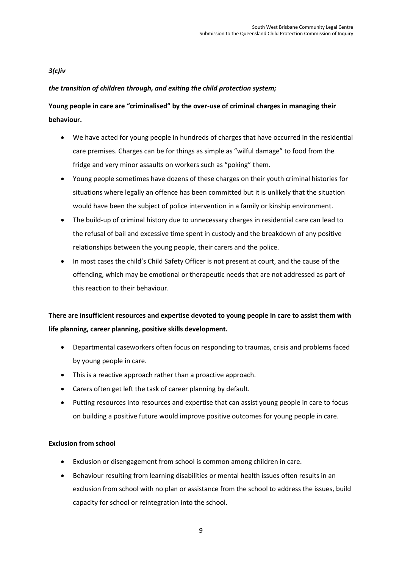## *3(c)iv*

## *the transition of children through, and exiting the child protection system;*

# **Young people in care are "criminalised" by the over-use of criminal charges in managing their behaviour.**

- We have acted for young people in hundreds of charges that have occurred in the residential care premises. Charges can be for things as simple as "wilful damage" to food from the fridge and very minor assaults on workers such as "poking" them.
- Young people sometimes have dozens of these charges on their youth criminal histories for situations where legally an offence has been committed but it is unlikely that the situation would have been the subject of police intervention in a family or kinship environment.
- The build-up of criminal history due to unnecessary charges in residential care can lead to the refusal of bail and excessive time spent in custody and the breakdown of any positive relationships between the young people, their carers and the police.
- In most cases the child's Child Safety Officer is not present at court, and the cause of the offending, which may be emotional or therapeutic needs that are not addressed as part of this reaction to their behaviour.

# **There are insufficient resources and expertise devoted to young people in care to assist them with life planning, career planning, positive skills development.**

- Departmental caseworkers often focus on responding to traumas, crisis and problems faced by young people in care.
- This is a reactive approach rather than a proactive approach.
- Carers often get left the task of career planning by default.
- Putting resources into resources and expertise that can assist young people in care to focus on building a positive future would improve positive outcomes for young people in care.

### **Exclusion from school**

- Exclusion or disengagement from school is common among children in care.
- Behaviour resulting from learning disabilities or mental health issues often results in an exclusion from school with no plan or assistance from the school to address the issues, build capacity for school or reintegration into the school.